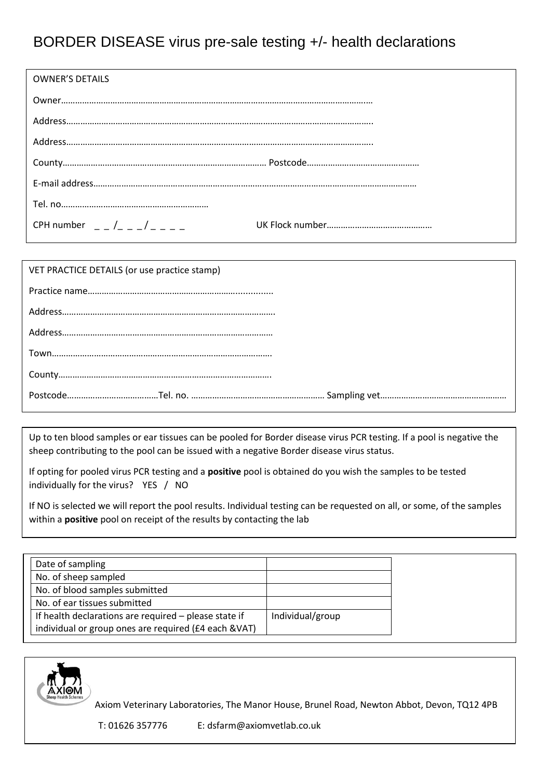## BORDER DISEASE virus pre-sale testing +/- health declarations

| <b>OWNER'S DETAILS</b>        |
|-------------------------------|
|                               |
|                               |
|                               |
|                               |
|                               |
|                               |
| CPH number $  /$ $  /$ $   -$ |
|                               |

| VET PRACTICE DETAILS (or use practice stamp) |
|----------------------------------------------|
|                                              |
|                                              |
|                                              |
|                                              |
|                                              |
|                                              |

Up to ten blood samples or ear tissues can be pooled for Border disease virus PCR testing. If a pool is negative the sheep contributing to the pool can be issued with a negative Border disease virus status.

If opting for pooled virus PCR testing and a **positive** pool is obtained do you wish the samples to be tested individually for the virus? YES / NO

If NO is selected we will report the pool results. Individual testing can be requested on all, or some, of the samples within a **positive** pool on receipt of the results by contacting the lab

| Date of sampling     |                                                       |                  |
|----------------------|-------------------------------------------------------|------------------|
| No. of sheep sampled |                                                       |                  |
|                      | No. of blood samples submitted                        |                  |
|                      | No. of ear tissues submitted                          |                  |
|                      | If health declarations are required - please state if | Individual/group |
|                      | individual or group ones are required (£4 each &VAT)  |                  |



Axiom Veterinary Laboratories, The Manor House, Brunel Road, Newton Abbot, Devon, TQ12 4PB

T: 01626 357776 E: dsfarm@axiomvetlab.co.uk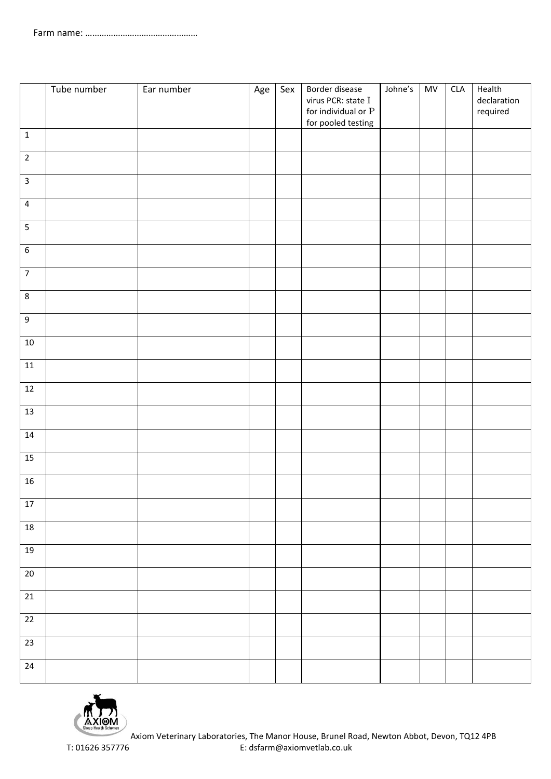|                         | Tube number | Ear number | Age | Sex | Border disease<br>virus PCR: state I<br>for individual or ${\bf P}$<br>for pooled testing | Johne's | MV | CLA | Health<br>declaration<br>required |
|-------------------------|-------------|------------|-----|-----|-------------------------------------------------------------------------------------------|---------|----|-----|-----------------------------------|
| $\mathbf 1$             |             |            |     |     |                                                                                           |         |    |     |                                   |
| $\sqrt{2}$              |             |            |     |     |                                                                                           |         |    |     |                                   |
| $\overline{\mathbf{3}}$ |             |            |     |     |                                                                                           |         |    |     |                                   |
| $\overline{\mathbf{4}}$ |             |            |     |     |                                                                                           |         |    |     |                                   |
| $\overline{5}$          |             |            |     |     |                                                                                           |         |    |     |                                   |
| $\overline{6}$          |             |            |     |     |                                                                                           |         |    |     |                                   |
| $\overline{7}$          |             |            |     |     |                                                                                           |         |    |     |                                   |
| $\,8\,$                 |             |            |     |     |                                                                                           |         |    |     |                                   |
| $\boldsymbol{9}$        |             |            |     |     |                                                                                           |         |    |     |                                   |
| $10\,$                  |             |            |     |     |                                                                                           |         |    |     |                                   |
| $11\,$                  |             |            |     |     |                                                                                           |         |    |     |                                   |
| 12                      |             |            |     |     |                                                                                           |         |    |     |                                   |
| 13                      |             |            |     |     |                                                                                           |         |    |     |                                   |
| 14                      |             |            |     |     |                                                                                           |         |    |     |                                   |
| 15                      |             |            |     |     |                                                                                           |         |    |     |                                   |
| 16                      |             |            |     |     |                                                                                           |         |    |     |                                   |
| $17\,$                  |             |            |     |     |                                                                                           |         |    |     |                                   |
| $18\,$                  |             |            |     |     |                                                                                           |         |    |     |                                   |
| $19\,$                  |             |            |     |     |                                                                                           |         |    |     |                                   |
| $20\,$                  |             |            |     |     |                                                                                           |         |    |     |                                   |
| $21\,$                  |             |            |     |     |                                                                                           |         |    |     |                                   |
| $\overline{22}$         |             |            |     |     |                                                                                           |         |    |     |                                   |
| $23\,$                  |             |            |     |     |                                                                                           |         |    |     |                                   |
| $24\,$                  |             |            |     |     |                                                                                           |         |    |     |                                   |

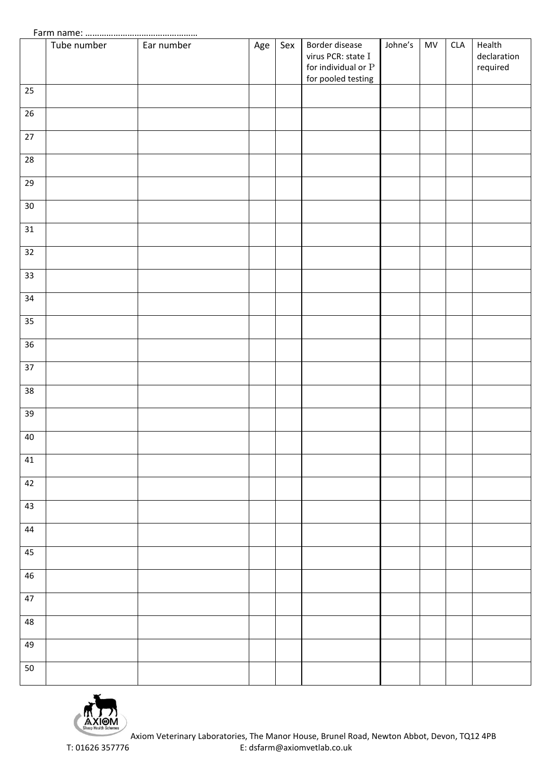|        | Tube number | Ear number | Age | Sex | Border disease<br>virus PCR: state I<br>for individual or ${\bf P}$<br>for pooled testing | Johne's | MV | CLA | Health<br>declaration<br>required |
|--------|-------------|------------|-----|-----|-------------------------------------------------------------------------------------------|---------|----|-----|-----------------------------------|
| 25     |             |            |     |     |                                                                                           |         |    |     |                                   |
| 26     |             |            |     |     |                                                                                           |         |    |     |                                   |
| $27\,$ |             |            |     |     |                                                                                           |         |    |     |                                   |
| $28\,$ |             |            |     |     |                                                                                           |         |    |     |                                   |
| 29     |             |            |     |     |                                                                                           |         |    |     |                                   |
| $30\,$ |             |            |     |     |                                                                                           |         |    |     |                                   |
| 31     |             |            |     |     |                                                                                           |         |    |     |                                   |
| 32     |             |            |     |     |                                                                                           |         |    |     |                                   |
| 33     |             |            |     |     |                                                                                           |         |    |     |                                   |
| 34     |             |            |     |     |                                                                                           |         |    |     |                                   |
| 35     |             |            |     |     |                                                                                           |         |    |     |                                   |
| 36     |             |            |     |     |                                                                                           |         |    |     |                                   |
| 37     |             |            |     |     |                                                                                           |         |    |     |                                   |
| 38     |             |            |     |     |                                                                                           |         |    |     |                                   |
| 39     |             |            |     |     |                                                                                           |         |    |     |                                   |
| 40     |             |            |     |     |                                                                                           |         |    |     |                                   |
| 41     |             |            |     |     |                                                                                           |         |    |     |                                   |
| 42     |             |            |     |     |                                                                                           |         |    |     |                                   |
| 43     |             |            |     |     |                                                                                           |         |    |     |                                   |
| 44     |             |            |     |     |                                                                                           |         |    |     |                                   |
| 45     |             |            |     |     |                                                                                           |         |    |     |                                   |
| 46     |             |            |     |     |                                                                                           |         |    |     |                                   |
| $47\,$ |             |            |     |     |                                                                                           |         |    |     |                                   |
| 48     |             |            |     |     |                                                                                           |         |    |     |                                   |
| 49     |             |            |     |     |                                                                                           |         |    |     |                                   |
| 50     |             |            |     |     |                                                                                           |         |    |     |                                   |